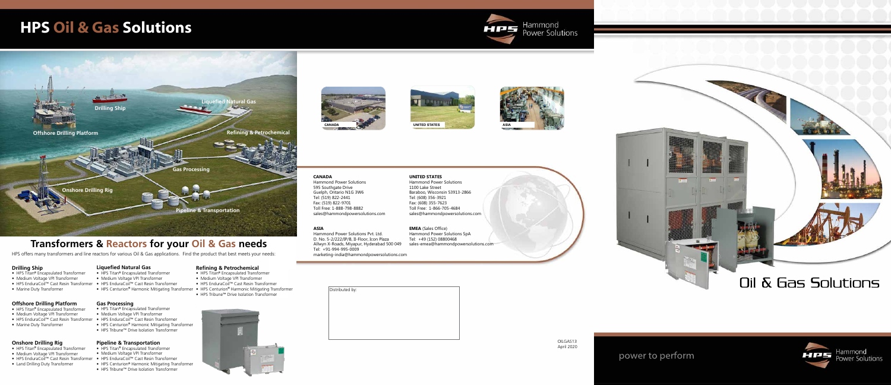

power to perform





# **HPS Oil & Gas Solutions**

# **Transformers & Reactors for your Oil & Gas needs**

### **Drilling Ship**

- HPS Titan**®** Encapsulated Transformer
- Medium Voltage VPI Transformer
- HPS EnduraCoil™ Cast Resin Transformer HPS EnduraCoil™ Cast Resin Transformer
- Marine Duty Transformer
- 

### **Offshore Drilling Platform**

- HPS Titan**®** Encapsulated Transformer
- Medium Voltage VPI Transformer
- HPS EnduraCoil™ Cast Resin Transformer HPS EnduraCoil™ Cast Resin Transformer
- Marine Duty Transformer

### **Onshore Drilling Rig**

- HPS Titan**®** Encapsulated Transformer
- Medium Voltage VPI Transformer
- HPS EnduraCoil™ Cast Resin Transformer
- Land Drilling Duty Transformer

### **Liquefied Natural Gas**

## **Gas Processing**

- HPS Titan**®** Encapsulated Transformer
- Medium Voltage VPI Transformer
- 
- HPS Centurion**®** Harmonic Mitigating Transformer
- HPS Tribune™ Drive Isolation Transformer

### **Pipeline & Transportation**

- HPS Titan**®** Encapsulated Transformer
- Medium Voltage VPI Transformer
- 
- HPS Centurion**®** Harmonic Mitigating Transformer HPS Centurion**®** Harmonic Mitigating Transformer

- HPS Titan**®** Encapsulated Transformer
- Medium Voltage VPI Transformer
- HPS EnduraCoil™ Cast Resin Transformer
- HPS Centurion**®** Harmonic Mitigating Transformer
- HPS Tribune™ Drive Isolation Transformer

### **Refining & Petrochemical**

- HPS Titan**®** Encapsulated Transformer
- Medium Voltage VPI Transformer
- HPS EnduraCoil™ Cast Resin Transformer
- 
- HPS Tribune™ Drive Isolation Transformer
- 



Distributed by:

- 
- 

HPS offers many transformers and line reactors for various Oil & Gas applications. Find the product that best meets your needs:



# **EMEA** (Sales Office) Tel: +49 (152) 08800468





### 1100 Lake Street Tel: (608) 356-3921 Fax: (608) 355-7623 Toll Free: 1-866-705-4684

**CANADA** Tel: (519) 822-2441





Hammond Power Solutions 595 Southgate Drive Guelph, Ontario N1G 3W6 Fax: (519) 822-9701 Toll Free: 1-888-798-8882 sales@hammondpowersolutions.com

### **ASIA**

Hammond Power Solutions Pvt. Ltd. D. No. 5-2/222/IP/B, II-Floor, Icon Plaza Allwyn X-Roads, Miyapur, Hyderabad 500 049 Tel: +91-994-995-0009 marketing-india@hammondpowersolutions.com